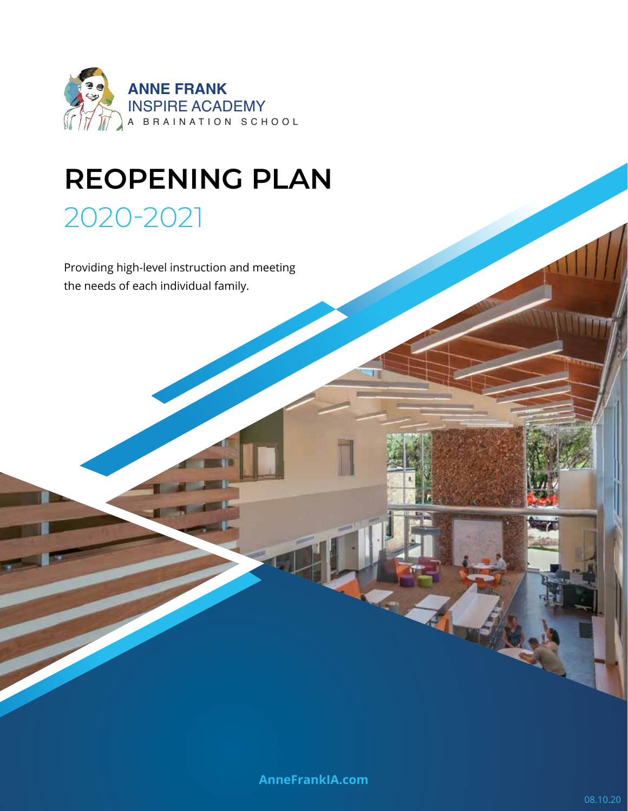

# **REOPENING PLAN** 2020-2021

### Providing high-level instruction and meeting the needs of each individual family.

**AnneFrankIA.com**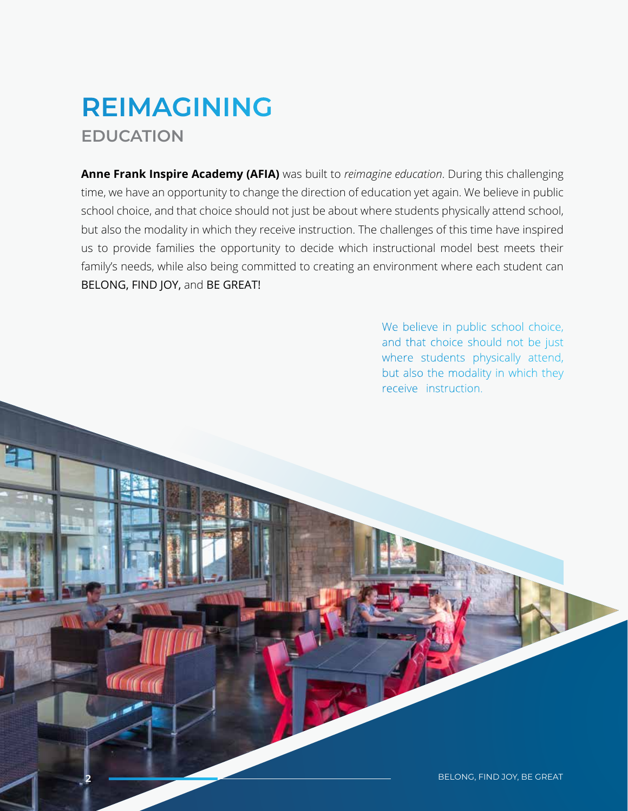## **REIMAGINING EDUCATION**

**Anne Frank Inspire Academy (AFIA)** was built to *reimagine education*. During this challenging time, we have an opportunity to change the direction of education yet again. We believe in public school choice, and that choice should not just be about where students physically attend school, but also the modality in which they receive instruction. The challenges of this time have inspired us to provide families the opportunity to decide which instructional model best meets their family's needs, while also being committed to creating an environment where each student can BELONG, FIND JOY, and BE GREAT!

> We believe in public school choice, and that choice should not be just where students physically attend, but also the modality in which they receive instruction.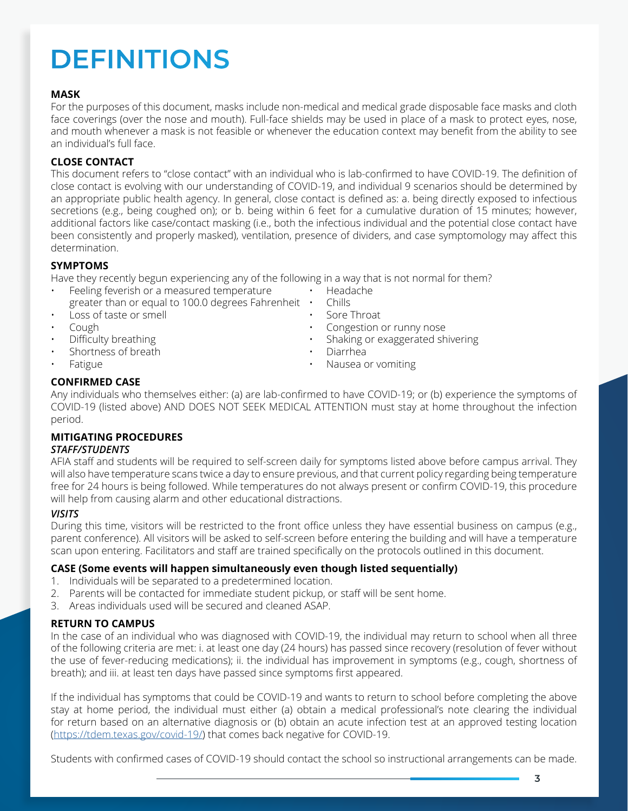#### **3**

# **DEFINITIONS**

#### **MASK**

For the purposes of this document, masks include non-medical and medical grade disposable face masks and cloth face coverings (over the nose and mouth). Full-face shields may be used in place of a mask to protect eyes, nose, and mouth whenever a mask is not feasible or whenever the education context may benefit from the ability to see an individual's full face.

#### **CLOSE CONTACT**

This document refers to "close contact" with an individual who is lab-confirmed to have COVID-19. The definition of close contact is evolving with our understanding of COVID-19, and individual 9 scenarios should be determined by an appropriate public health agency. In general, close contact is defined as: a. being directly exposed to infectious secretions (e.g., being coughed on); or b. being within 6 feet for a cumulative duration of 15 minutes; however, additional factors like case/contact masking (i.e., both the infectious individual and the potential close contact have been consistently and properly masked), ventilation, presence of dividers, and case symptomology may affect this determination.

#### **SYMPTOMS**

Have they recently begun experiencing any of the following in a way that is not normal for them?

- Feeling feverish or a measured temperature Headache
- greater than or equal to 100.0 degrees Fahrenheit Chills **Loss of taste or smell example 3 and 1** Sore Throat
- 
- 
- 
- Shortness of breath Diarrhea
- 
- 
- 
- 
- Cough Congestion or runny nose
- Difficulty breathing Shaking or exaggerated shivering
	-
- Fatigue Nausea or vomiting

#### **CONFIRMED CASE**

Any individuals who themselves either: (a) are lab-confirmed to have COVID-19; or (b) experience the symptoms of COVID-19 (listed above) AND DOES NOT SEEK MEDICAL ATTENTION must stay at home throughout the infection period.

#### **MITIGATING PROCEDURES** *STAFF/STUDENTS*

AFIA staff and students will be required to self-screen daily for symptoms listed above before campus arrival. They will also have temperature scans twice a day to ensure previous, and that current policy regarding being temperature free for 24 hours is being followed. While temperatures do not always present or confirm COVID-19, this procedure will help from causing alarm and other educational distractions.

#### *VISITS*

During this time, visitors will be restricted to the front office unless they have essential business on campus (e.g., parent conference). All visitors will be asked to self-screen before entering the building and will have a temperature scan upon entering. Facilitators and staff are trained specifically on the protocols outlined in this document.

#### **CASE (Some events will happen simultaneously even though listed sequentially)**

- 1. Individuals will be separated to a predetermined location.
- 2. Parents will be contacted for immediate student pickup, or staff will be sent home.
- 3. Areas individuals used will be secured and cleaned ASAP.

#### **RETURN TO CAMPUS**

In the case of an individual who was diagnosed with COVID-19, the individual may return to school when all three of the following criteria are met: i. at least one day (24 hours) has passed since recovery (resolution of fever without the use of fever-reducing medications); ii. the individual has improvement in symptoms (e.g., cough, shortness of breath); and iii. at least ten days have passed since symptoms first appeared.

If the individual has symptoms that could be COVID-19 and wants to return to school before completing the above stay at home period, the individual must either (a) obtain a medical professional's note clearing the individual for return based on an alternative diagnosis or (b) obtain an acute infection test at an approved testing location (https://tdem.texas.gov/covid-19/) that comes back negative for COVID-19.

Students with confirmed cases of COVID-19 should contact the school so instructional arrangements can be made.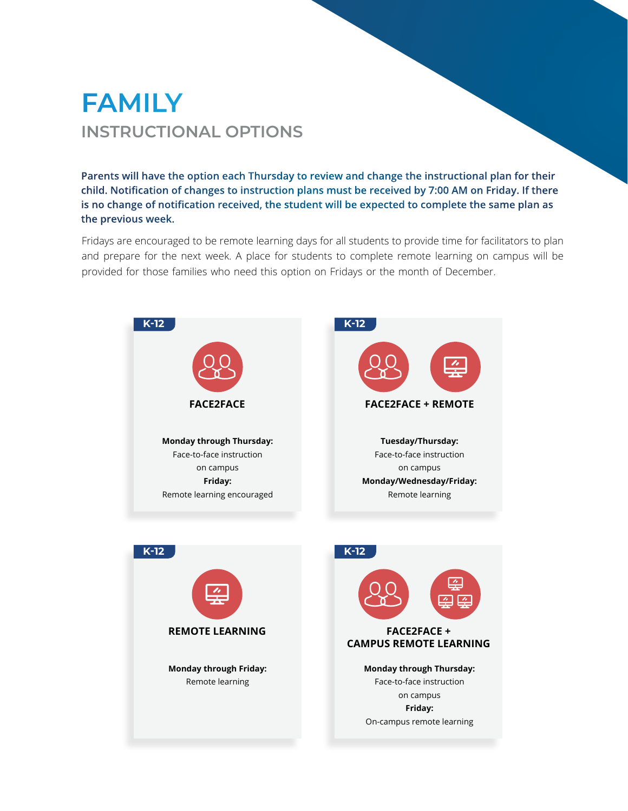### **FAMILY INSTRUCTIONAL OPTIONS**

**Parents will have the option each Thursday to review and change the instructional plan for their child. Notification of changes to instruction plans must be received by 7:00 AM on Friday. If there is no change of notification received, the student will be expected to complete the same plan as the previous week.** 

Fridays are encouraged to be remote learning days for all students to provide time for facilitators to plan and prepare for the next week. A place for students to complete remote learning on campus will be provided for those families who need this option on Fridays or the month of December.

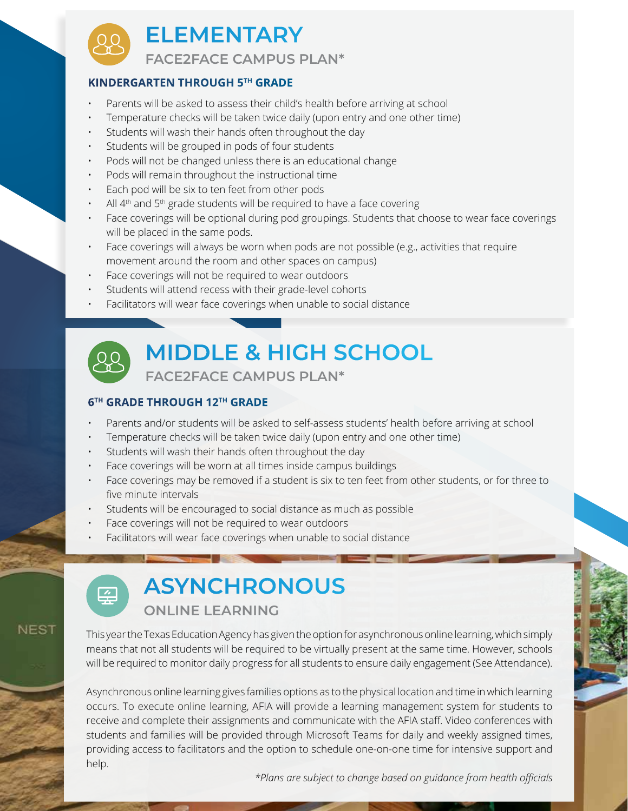

#### **KINDERGARTEN THROUGH 5TH GRADE**

- Parents will be asked to assess their child's health before arriving at school
- Temperature checks will be taken twice daily (upon entry and one other time)
- Students will wash their hands often throughout the day
- Students will be grouped in pods of four students
- Pods will not be changed unless there is an educational change
- Pods will remain throughout the instructional time
- Each pod will be six to ten feet from other pods
- All 4<sup>th</sup> and 5<sup>th</sup> grade students will be required to have a face covering
- Face coverings will be optional during pod groupings. Students that choose to wear face coverings will be placed in the same pods.
- Face coverings will always be worn when pods are not possible (e.g., activities that require movement around the room and other spaces on campus)
- Face coverings will not be required to wear outdoors
- Students will attend recess with their grade-level cohorts
- Facilitators will wear face coverings when unable to social distance



# **MIDDLE & HIGH SCHOOL**

**FACE2FACE CAMPUS PLAN\***

#### **6TH GRADE THROUGH 12TH GRADE**

- Parents and/or students will be asked to self-assess students' health before arriving at school
- Temperature checks will be taken twice daily (upon entry and one other time)
- Students will wash their hands often throughout the day
- Face coverings will be worn at all times inside campus buildings
- Face coverings may be removed if a student is six to ten feet from other students, or for three to five minute intervals
- Students will be encouraged to social distance as much as possible
- Face coverings will not be required to wear outdoors
- Facilitators will wear face coverings when unable to social distance



**NEST** 

# **ASYNCHRONOUS**

**ONLINE LEARNING**

This year the Texas Education Agency has given the option for asynchronous online learning, which simply means that not all students will be required to be virtually present at the same time. However, schools will be required to monitor daily progress for all students to ensure daily engagement (See Attendance).

Asynchronous online learning gives families options as to the physical location and time in which learning occurs. To execute online learning, AFIA will provide a learning management system for students to receive and complete their assignments and communicate with the AFIA staff. Video conferences with students and families will be provided through Microsoft Teams for daily and weekly assigned times, providing access to facilitators and the option to schedule one-on-one time for intensive support and help.

*\*Plans are subject to change based on guidance from health officials*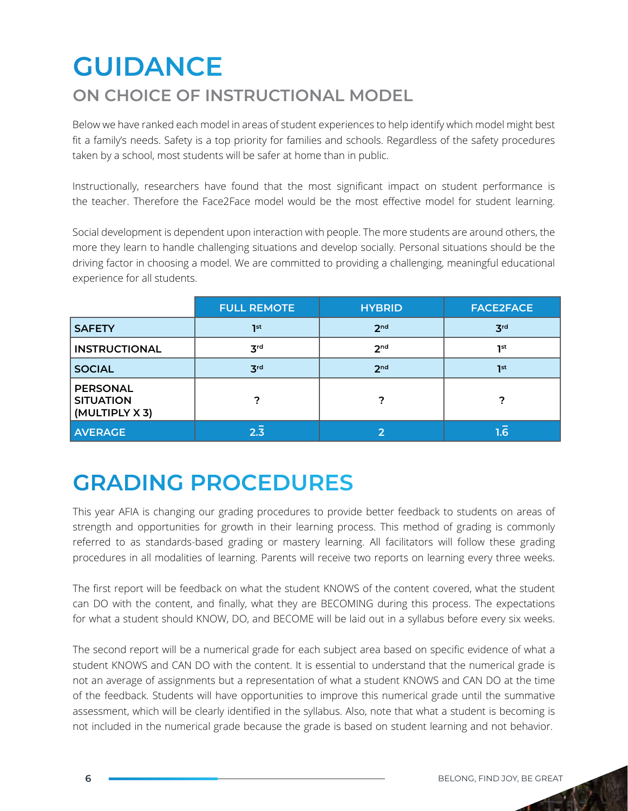# **GUIDANCE**

### **ON CHOICE OF INSTRUCTIONAL MODEL**

Below we have ranked each model in areas of student experiences to help identify which model might best fit a family's needs. Safety is a top priority for families and schools. Regardless of the safety procedures taken by a school, most students will be safer at home than in public.

Instructionally, researchers have found that the most significant impact on student performance is the teacher. Therefore the Face2Face model would be the most effective model for student learning.

Social development is dependent upon interaction with people. The more students are around others, the more they learn to handle challenging situations and develop socially. Personal situations should be the driving factor in choosing a model. We are committed to providing a challenging, meaningful educational experience for all students.

|                                                       | <b>FULL REMOTE</b> | <b>HYBRID</b>   | <b>FACE2FACE</b> |
|-------------------------------------------------------|--------------------|-----------------|------------------|
| <b>SAFETY</b>                                         | 1st                | 2 <sub>nd</sub> | 3 <sup>rd</sup>  |
| <b>INSTRUCTIONAL</b>                                  | 3 <sup>rd</sup>    | 2 <sub>nd</sub> | 1st              |
| <b>SOCIAL</b>                                         | 3 <sup>rd</sup>    | 2 <sub>nd</sub> | 7st              |
| <b>PERSONAL</b><br><b>SITUATION</b><br>(MULTIPLY X 3) | 7                  |                 |                  |
| <b>AVERAGE</b>                                        | $2.\overline{3}$   |                 | 1.6'             |

## **GRADING PROCEDURES**

This year AFIA is changing our grading procedures to provide better feedback to students on areas of strength and opportunities for growth in their learning process. This method of grading is commonly referred to as standards-based grading or mastery learning. All facilitators will follow these grading procedures in all modalities of learning. Parents will receive two reports on learning every three weeks.

The first report will be feedback on what the student KNOWS of the content covered, what the student can DO with the content, and finally, what they are BECOMING during this process. The expectations for what a student should KNOW, DO, and BECOME will be laid out in a syllabus before every six weeks.

The second report will be a numerical grade for each subject area based on specific evidence of what a student KNOWS and CAN DO with the content. It is essential to understand that the numerical grade is not an average of assignments but a representation of what a student KNOWS and CAN DO at the time of the feedback. Students will have opportunities to improve this numerical grade until the summative assessment, which will be clearly identified in the syllabus. Also, note that what a student is becoming is not included in the numerical grade because the grade is based on student learning and not behavior.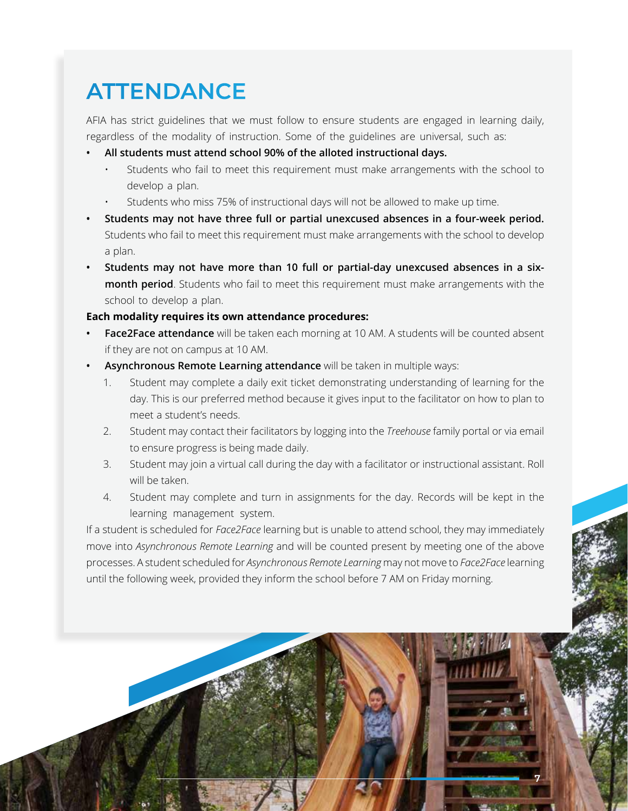## **ATTENDANCE**

AFIA has strict guidelines that we must follow to ensure students are engaged in learning daily, regardless of the modality of instruction. Some of the guidelines are universal, such as:

- **• All students must attend school 90% of the alloted instructional days.**
	- Students who fail to meet this requirement must make arrangements with the school to develop a plan.
	- Students who miss 75% of instructional days will not be allowed to make up time.
- **• Students may not have three full or partial unexcused absences in a four-week period.** Students who fail to meet this requirement must make arrangements with the school to develop a plan.
- **• Students may not have more than 10 full or partial-day unexcused absences in a sixmonth period**. Students who fail to meet this requirement must make arrangements with the school to develop a plan.

#### **Each modality requires its own attendance procedures:**

- **• Face2Face attendance** will be taken each morning at 10 AM. A students will be counted absent if they are not on campus at 10 AM.
- **• Asynchronous Remote Learning attendance** will be taken in multiple ways:
	- 1. Student may complete a daily exit ticket demonstrating understanding of learning for the day. This is our preferred method because it gives input to the facilitator on how to plan to meet a student's needs.
	- 2. Student may contact their facilitators by logging into the *Treehouse* family portal or via email to ensure progress is being made daily.
	- 3. Student may join a virtual call during the day with a facilitator or instructional assistant. Roll will be taken.
	- 4. Student may complete and turn in assignments for the day. Records will be kept in the learning management system.

If a student is scheduled for *Face2Face* learning but is unable to attend school, they may immediately move into *Asynchronous Remote Learning* and will be counted present by meeting one of the above processes. A student scheduled for *Asynchronous Remote Learning* may not move to *Face2Face* learning until the following week, provided they inform the school before 7 AM on Friday morning.